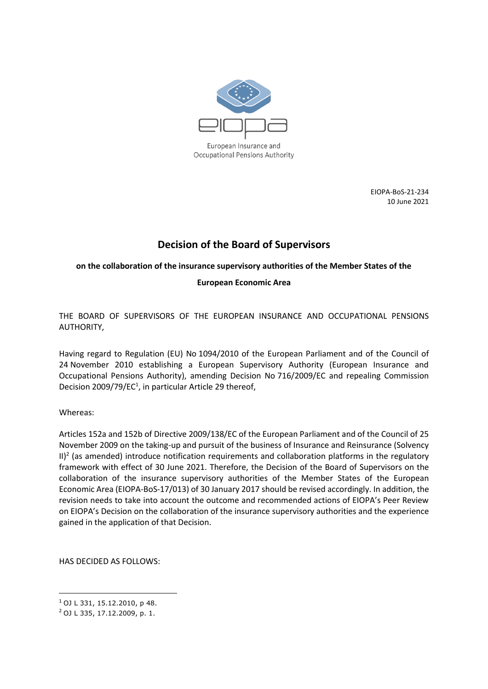

European Insurance and Occupational Pensions Authority

> EIOPA-BoS-21-234 10 June 2021

# **Decision of the Board of Supervisors**

# **on the collaboration of the insurance supervisory authorities of the Member States of the**

# **European Economic Area**

THE BOARD OF SUPERVISORS OF THE EUROPEAN INSURANCE AND OCCUPATIONAL PENSIONS AUTHORITY,

Having regard to Regulation (EU) No 1094/2010 of the European Parliament and of the Council of 24 November 2010 establishing a European Supervisory Authority (European Insurance and Occupational Pensions Authority), amending Decision No 716/2009/EC and repealing Commission Decision 2009/79/EC<sup>1</sup>, in particular Article 29 thereof,

Whereas:

Articles 152a and 152b of Directive 2009/138/EC of the European Parliament and of the Council of 25 November 2009 on the taking-up and pursuit of the business of Insurance and Reinsurance (Solvency  $II)^2$  (as amended) introduce notification requirements and collaboration platforms in the regulatory framework with effect of 30 June 2021. Therefore, the Decision of the Board of Supervisors on the collaboration of the insurance supervisory authorities of the Member States of the European Economic Area (EIOPA-BoS-17/013) of 30 January 2017 should be revised accordingly. In addition, the revision needs to take into account the outcome and recommended actions of EIOPA's Peer Review on EIOPA's Decision on the collaboration of the insurance supervisory authorities and the experience gained in the application of that Decision.

HAS DECIDED AS FOLLOWS:

**.** 

<sup>1</sup> OJ L 331, 15.12.2010, p 48.

<sup>2</sup> OJ L 335, 17.12.2009, p. 1.